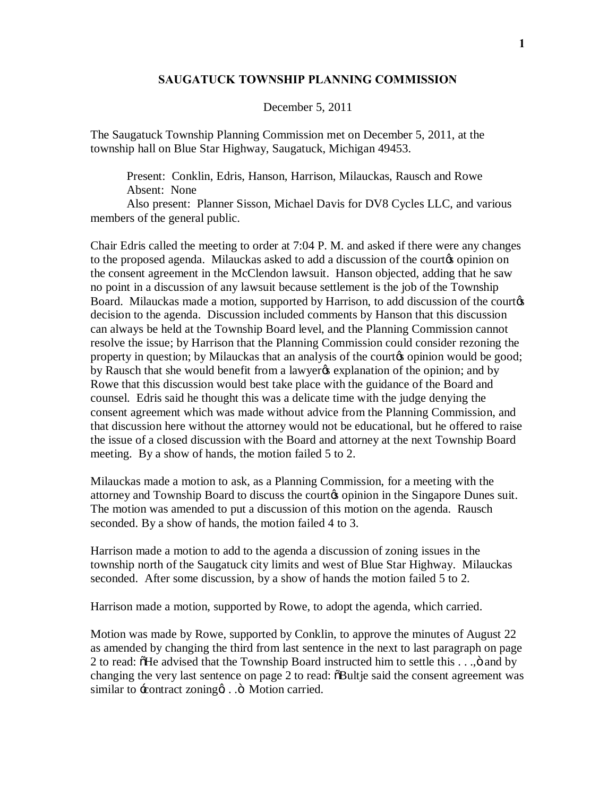## **SAUGATUCK TOWNSHIP PLANNING COMMISSION**

## December 5, 2011

The Saugatuck Township Planning Commission met on December 5, 2011, at the township hall on Blue Star Highway, Saugatuck, Michigan 49453.

Present: Conklin, Edris, Hanson, Harrison, Milauckas, Rausch and Rowe Absent: None

Also present: Planner Sisson, Michael Davis for DV8 Cycles LLC, and various members of the general public.

Chair Edris called the meeting to order at 7:04 P. M. and asked if there were any changes to the proposed agenda. Milauckas asked to add a discussion of the courtos opinion on the consent agreement in the McClendon lawsuit. Hanson objected, adding that he saw no point in a discussion of any lawsuit because settlement is the job of the Township Board. Milauckas made a motion, supported by Harrison, to add discussion of the courtos decision to the agenda. Discussion included comments by Hanson that this discussion can always be held at the Township Board level, and the Planning Commission cannot resolve the issue; by Harrison that the Planning Commission could consider rezoning the property in question; by Milauckas that an analysis of the court to opinion would be good; by Rausch that she would benefit from a lawyer  $\alpha$  explanation of the opinion; and by Rowe that this discussion would best take place with the guidance of the Board and counsel. Edris said he thought this was a delicate time with the judge denying the consent agreement which was made without advice from the Planning Commission, and that discussion here without the attorney would not be educational, but he offered to raise the issue of a closed discussion with the Board and attorney at the next Township Board meeting. By a show of hands, the motion failed 5 to 2.

Milauckas made a motion to ask, as a Planning Commission, for a meeting with the attorney and Township Board to discuss the court to opinion in the Singapore Dunes suit. The motion was amended to put a discussion of this motion on the agenda. Rausch seconded. By a show of hands, the motion failed 4 to 3.

Harrison made a motion to add to the agenda a discussion of zoning issues in the township north of the Saugatuck city limits and west of Blue Star Highway. Milauckas seconded. After some discussion, by a show of hands the motion failed 5 to 2.

Harrison made a motion, supported by Rowe, to adopt the agenda, which carried.

Motion was made by Rowe, supported by Conklin, to approve the minutes of August 22 as amended by changing the third from last sentence in the next to last paragraph on page 2 to read:  $\delta$ He advised that the Township Board instructed him to settle this  $\dots$ ,  $\delta$  and by changing the very last sentence on page 2 to read:  $\delta$ Bultje said the consent agreement was similar to  $\pm$ contract zoning  $\alpha$ . .  $\ddot{\sigma}$  Motion carried.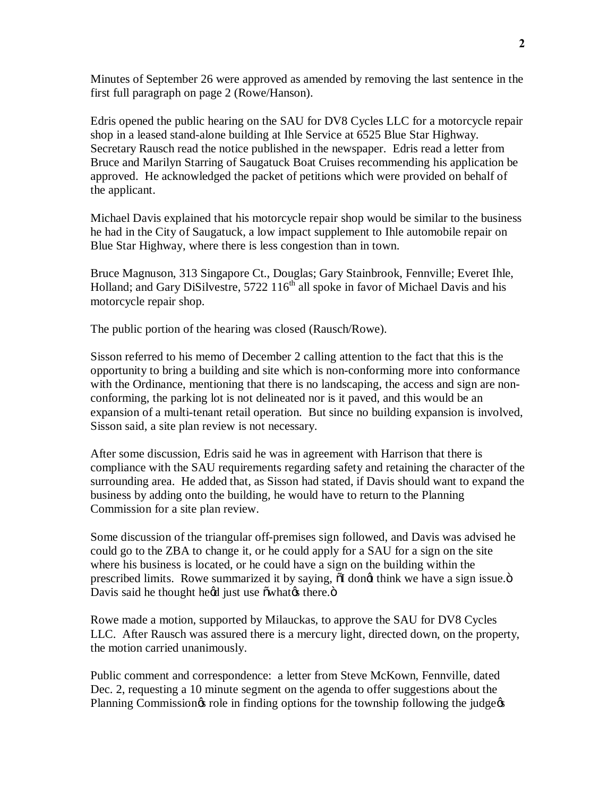Minutes of September 26 were approved as amended by removing the last sentence in the first full paragraph on page 2 (Rowe/Hanson).

Edris opened the public hearing on the SAU for DV8 Cycles LLC for a motorcycle repair shop in a leased stand-alone building at Ihle Service at 6525 Blue Star Highway. Secretary Rausch read the notice published in the newspaper. Edris read a letter from Bruce and Marilyn Starring of Saugatuck Boat Cruises recommending his application be approved. He acknowledged the packet of petitions which were provided on behalf of the applicant.

Michael Davis explained that his motorcycle repair shop would be similar to the business he had in the City of Saugatuck, a low impact supplement to Ihle automobile repair on Blue Star Highway, where there is less congestion than in town.

Bruce Magnuson, 313 Singapore Ct., Douglas; Gary Stainbrook, Fennville; Everet Ihle, Holland; and Gary DiSilvestre, 5722 116<sup>th</sup> all spoke in favor of Michael Davis and his motorcycle repair shop.

The public portion of the hearing was closed (Rausch/Rowe).

Sisson referred to his memo of December 2 calling attention to the fact that this is the opportunity to bring a building and site which is non-conforming more into conformance with the Ordinance, mentioning that there is no landscaping, the access and sign are nonconforming, the parking lot is not delineated nor is it paved, and this would be an expansion of a multi-tenant retail operation. But since no building expansion is involved, Sisson said, a site plan review is not necessary.

After some discussion, Edris said he was in agreement with Harrison that there is compliance with the SAU requirements regarding safety and retaining the character of the surrounding area. He added that, as Sisson had stated, if Davis should want to expand the business by adding onto the building, he would have to return to the Planning Commission for a site plan review.

Some discussion of the triangular off-premises sign followed, and Davis was advised he could go to the ZBA to change it, or he could apply for a SAU for a sign on the site where his business is located, or he could have a sign on the building within the prescribed limits. Rowe summarized it by saying,  $\delta I$  dong think we have a sign issue. $\delta$ Davis said he thought heed just use  $\delta w$  hates there. $\ddot{\text{o}}$ 

Rowe made a motion, supported by Milauckas, to approve the SAU for DV8 Cycles LLC. After Rausch was assured there is a mercury light, directed down, on the property, the motion carried unanimously.

Public comment and correspondence: a letter from Steve McKown, Fennville, dated Dec. 2, requesting a 10 minute segment on the agenda to offer suggestions about the Planning Commission is role in finding options for the township following the judge